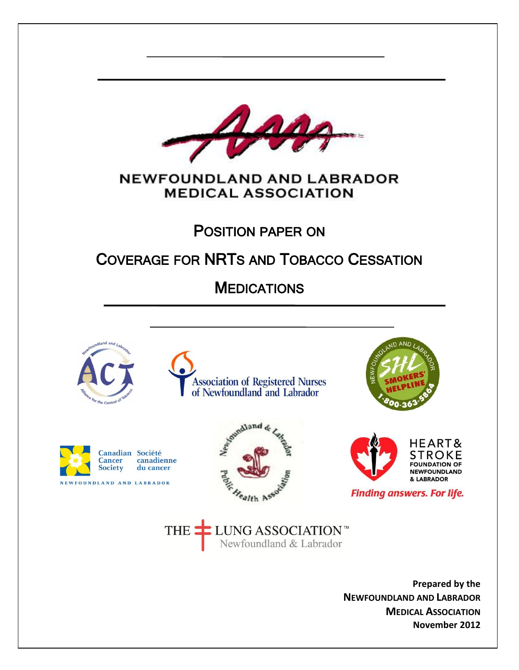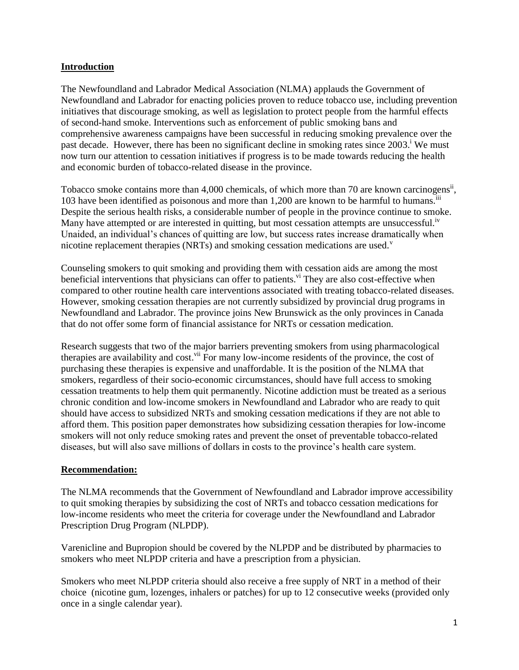## **Introduction**

The Newfoundland and Labrador Medical Association (NLMA) applauds the Government of Newfoundland and Labrador for enacting policies proven to reduce tobacco use, including prevention initiatives that discourage smoking, as well as legislation to protect people from the harmful effects of second-hand smoke. Interventions such as enforcement of public smoking bans and comprehensive awareness campaigns have been successful in reducing smoking prevalence over the past decade. However, there has been no significant decline in smoking rates since 2003.<sup>1</sup> We must now turn our attention to cessation initiatives if progress is to be made towards reducing the health and economic burden of tobacco-related disease in the province.

Tobacco smoke contains more than 4,000 chemicals, of which more than 70 are known carcinogens<sup>ii</sup>, 103 have been identified as poisonous and more than 1,200 are known to be harmful to humans.  $\ddot{ }$ Despite the serious health risks, a considerable number of people in the province continue to smoke. Many have attempted or are interested in quitting, but most cessation attempts are unsuccessful.<sup>iv</sup> Unaided, an individual's chances of quitting are low, but success rates increase dramatically when nicotine replacement therapies (NRTs) and smoking cessation medications are used.<sup> $v$ </sup>

Counseling smokers to quit smoking and providing them with cessation aids are among the most beneficial interventions that physicians can offer to patients.<sup>vi</sup> They are also cost-effective when compared to other routine health care interventions associated with treating tobacco-related diseases. However, smoking cessation therapies are not currently subsidized by provincial drug programs in Newfoundland and Labrador. The province joins New Brunswick as the only provinces in Canada that do not offer some form of financial assistance for NRTs or cessation medication.

Research suggests that two of the major barriers preventing smokers from using pharmacological therapies are availability and cost.<sup>vii</sup> For many low-income residents of the province, the cost of purchasing these therapies is expensive and unaffordable. It is the position of the NLMA that smokers, regardless of their socio-economic circumstances, should have full access to smoking cessation treatments to help them quit permanently. Nicotine addiction must be treated as a serious chronic condition and low-income smokers in Newfoundland and Labrador who are ready to quit should have access to subsidized NRTs and smoking cessation medications if they are not able to afford them. This position paper demonstrates how subsidizing cessation therapies for low-income smokers will not only reduce smoking rates and prevent the onset of preventable tobacco-related diseases, but will also save millions of dollars in costs to the province's health care system.

## **Recommendation:**

The NLMA recommends that the Government of Newfoundland and Labrador improve accessibility to quit smoking therapies by subsidizing the cost of NRTs and tobacco cessation medications for low-income residents who meet the criteria for coverage under the Newfoundland and Labrador Prescription Drug Program (NLPDP).

Varenicline and Bupropion should be covered by the NLPDP and be distributed by pharmacies to smokers who meet NLPDP criteria and have a prescription from a physician.

Smokers who meet NLPDP criteria should also receive a free supply of NRT in a method of their choice (nicotine gum, lozenges, inhalers or patches) for up to 12 consecutive weeks (provided only once in a single calendar year).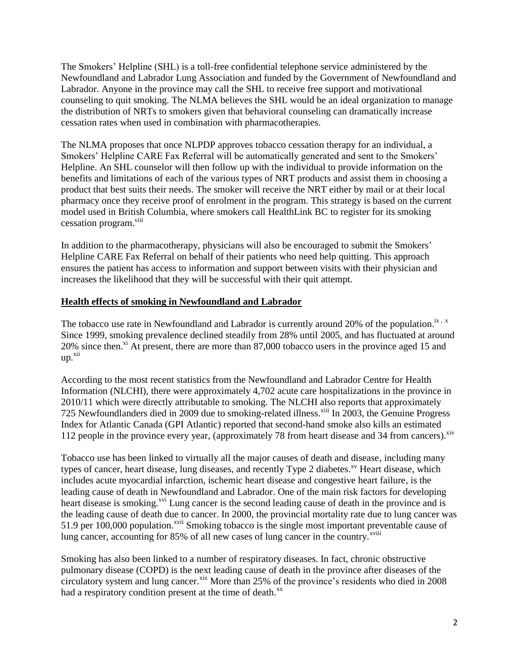The Smokers' Helpline (SHL) is a toll-free confidential telephone service administered by the Newfoundland and Labrador Lung Association and funded by the Government of Newfoundland and Labrador. Anyone in the province may call the SHL to receive free support and motivational counseling to quit smoking. The NLMA believes the SHL would be an ideal organization to manage the distribution of NRTs to smokers given that behavioral counseling can dramatically increase cessation rates when used in combination with pharmacotherapies.

The NLMA proposes that once NLPDP approves tobacco cessation therapy for an individual, a Smokers' Helpline CARE Fax Referral will be automatically generated and sent to the Smokers' Helpline. An SHL counselor will then follow up with the individual to provide information on the benefits and limitations of each of the various types of NRT products and assist them in choosing a product that best suits their needs. The smoker will receive the NRT either by mail or at their local pharmacy once they receive proof of enrolment in the program. This strategy is based on the current model used in British Columbia, where smokers call HealthLink BC to register for its smoking cessation program.<sup>viii</sup>

In addition to the pharmacotherapy, physicians will also be encouraged to submit the Smokers' Helpline CARE Fax Referral on behalf of their patients who need help quitting. This approach ensures the patient has access to information and support between visits with their physician and increases the likelihood that they will be successful with their quit attempt.

## **Health effects of smoking in Newfoundland and Labrador**

The tobacco use rate in Newfoundland and Labrador is currently around 20% of the population.<sup>ix, x</sup> Since 1999, smoking prevalence declined steadily from 28% until 2005, and has fluctuated at around 20% since then.<sup>xi</sup> At present, there are more than 87,000 tobacco users in the province aged 15 and up. xii

According to the most recent statistics from the Newfoundland and Labrador Centre for Health Information (NLCHI), there were approximately 4,702 acute care hospitalizations in the province in 2010/11 which were directly attributable to smoking. The NLCHI also reports that approximately 725 Newfoundlanders died in 2009 due to smoking-related illness.<sup>xiii</sup> In 2003, the Genuine Progress Index for Atlantic Canada (GPI Atlantic) reported that second-hand smoke also kills an estimated 112 people in the province every year, (approximately 78 from heart disease and 34 from cancers).<sup>xiv</sup>

Tobacco use has been linked to virtually all the major causes of death and disease, including many types of cancer, heart disease, lung diseases, and recently Type 2 diabetes.<sup>xv</sup> Heart disease, which includes acute myocardial infarction, ischemic heart disease and congestive heart failure, is the leading cause of death in Newfoundland and Labrador. One of the main risk factors for developing heart disease is smoking.<sup>xvi</sup> Lung cancer is the second leading cause of death in the province and is the leading cause of death due to cancer. In 2000, the provincial mortality rate due to lung cancer was 51.9 per 100,000 population.<sup>xvii</sup> Smoking tobacco is the single most important preventable cause of lung cancer, accounting for 85% of all new cases of lung cancer in the country.<sup>xviii</sup>

Smoking has also been linked to a number of respiratory diseases. In fact, chronic obstructive pulmonary disease (COPD) is the next leading cause of death in the province after diseases of the circulatory system and lung cancer. $x$ <sup>xix</sup> More than 25% of the province's residents who died in 2008 had a respiratory condition present at the time of death.<sup>xx</sup>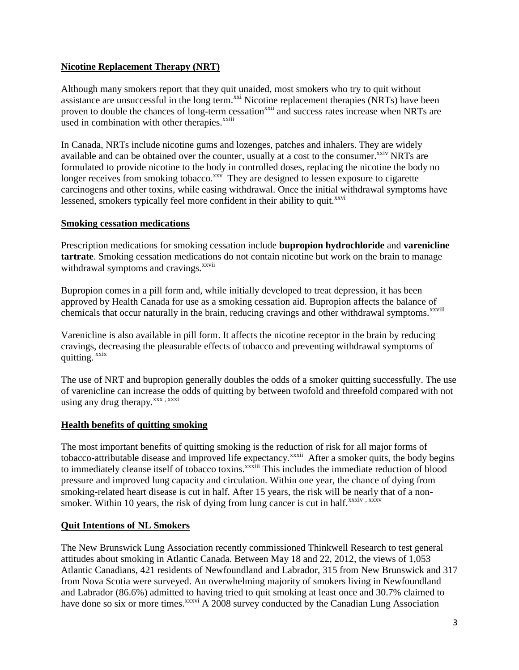## **Nicotine Replacement Therapy (NRT)**

Although many smokers report that they quit unaided, most smokers who try to quit without assistance are unsuccessful in the long term.<sup> $xxi$ </sup> Nicotine replacement therapies (NRTs) have been proven to double the chances of long-term cessation<sup>xxii</sup> and success rates increase when NRTs are used in combination with other therapies.<sup>xxiii</sup>

In Canada, NRTs include nicotine gums and lozenges, patches and inhalers. They are widely available and can be obtained over the counter, usually at a cost to the consumer.<sup>xxiv</sup> NRTs are formulated to provide nicotine to the body in controlled doses, replacing the nicotine the body no longer receives from smoking tobacco.<sup>xxv</sup> They are designed to lessen exposure to cigarette carcinogens and other toxins, while easing withdrawal. Once the initial withdrawal symptoms have lessened, smokers typically feel more confident in their ability to quit.<sup>xxvi</sup>

## **Smoking cessation medications**

Prescription medications for smoking cessation include **bupropion hydrochloride** and **varenicline tartrate**. Smoking cessation medications do not contain nicotine but work on the brain to manage withdrawal symptoms and cravings.<sup>xxvii</sup>

Bupropion comes in a pill form and, while initially developed to treat depression, it has been approved by Health Canada for use as a smoking cessation aid. Bupropion affects the balance of chemicals that occur naturally in the brain, reducing cravings and other withdrawal symptoms.<sup>xxviii</sup>

Varenicline is also available in pill form. It affects the nicotine receptor in the brain by reducing cravings, decreasing the pleasurable effects of tobacco and preventing withdrawal symptoms of quitting. xxix

The use of NRT and bupropion generally doubles the odds of a smoker quitting successfully. The use of varenicline can increase the odds of quitting by between twofold and threefold compared with not using any drug therapy.<sup>xxx</sup>, xxxi

## **Health benefits of quitting smoking**

The most important benefits of quitting smoking is the reduction of risk for all major forms of tobacco-attributable disease and improved life expectancy.<sup>xxxii</sup> After a smoker quits, the body begins to immediately cleanse itself of tobacco toxins.<sup>xxxiii</sup> This includes the immediate reduction of blood pressure and improved lung capacity and circulation. Within one year, the chance of dying from smoking-related heart disease is cut in half. After 15 years, the risk will be nearly that of a nonsmoker. Within 10 years, the risk of dying from lung cancer is cut in half. $xxxiv, xxxv$ 

## **Quit Intentions of NL Smokers**

The New Brunswick Lung Association recently commissioned Thinkwell Research to test general attitudes about smoking in Atlantic Canada. Between May 18 and 22, 2012, the views of 1,053 Atlantic Canadians, 421 residents of Newfoundland and Labrador, 315 from New Brunswick and 317 from Nova Scotia were surveyed. An overwhelming majority of smokers living in Newfoundland and Labrador (86.6%) admitted to having tried to quit smoking at least once and 30.7% claimed to have done so six or more times.<sup>xxxvi</sup> A 2008 survey conducted by the Canadian Lung Association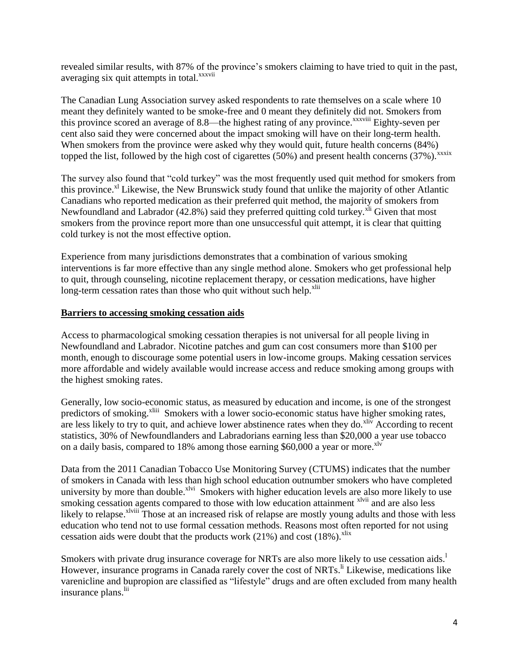revealed similar results, with 87% of the province's smokers claiming to have tried to quit in the past, averaging six quit attempts in total.<sup>xxxvii</sup>

The Canadian Lung Association survey asked respondents to rate themselves on a scale where 10 meant they definitely wanted to be smoke-free and 0 meant they definitely did not. Smokers from this province scored an average of 8.8—the highest rating of any province.<sup>xxxviii</sup> Eighty-seven per cent also said they were concerned about the impact smoking will have on their long-term health. When smokers from the province were asked why they would quit, future health concerns (84%) topped the list, followed by the high cost of cigarettes (50%) and present health concerns (37%).<sup>xxxix</sup>

The survey also found that "cold turkey" was the most frequently used quit method for smokers from this province.<sup>xl</sup> Likewise, the New Brunswick study found that unlike the majority of other Atlantic Canadians who reported medication as their preferred quit method, the majority of smokers from Newfoundland and Labrador  $(42.8\%)$  said they preferred quitting cold turkey.<sup>xli</sup> Given that most smokers from the province report more than one unsuccessful quit attempt, it is clear that quitting cold turkey is not the most effective option.

Experience from many jurisdictions demonstrates that a combination of various smoking interventions is far more effective than any single method alone. Smokers who get professional help to quit, through counseling, nicotine replacement therapy, or cessation medications, have higher long-term cessation rates than those who quit without such help.<sup>xlii</sup>

#### **Barriers to accessing smoking cessation aids**

Access to pharmacological smoking cessation therapies is not universal for all people living in Newfoundland and Labrador. Nicotine patches and gum can cost consumers more than \$100 per month, enough to discourage some potential users in low-income groups. Making cessation services more affordable and widely available would increase access and reduce smoking among groups with the highest smoking rates.

Generally, low socio-economic status, as measured by education and income, is one of the strongest predictors of smoking.<sup>xliii</sup> Smokers with a lower socio-economic status have higher smoking rates, are less likely to try to quit, and achieve lower abstinence rates when they do. $x^{11}$  According to recent statistics, 30% of Newfoundlanders and Labradorians earning less than \$20,000 a year use tobacco on a daily basis, compared to 18% among those earning  $$60,000$  a year or more.<sup>xly</sup>

Data from the 2011 Canadian Tobacco Use Monitoring Survey (CTUMS) indicates that the number of smokers in Canada with less than high school education outnumber smokers who have completed university by more than double.<sup>xlvi</sup> Smokers with higher education levels are also more likely to use smoking cessation agents compared to those with low education attainment  $\frac{x}{y}$  and are also less likely to relapse.<sup>xlviii</sup> Those at an increased risk of relapse are mostly young adults and those with less education who tend not to use formal cessation methods. Reasons most often reported for not using cessation aids were doubt that the products work  $(21%)$  and cost  $(18%)$ .<sup>xlix</sup>

Smokers with private drug insurance coverage for NRTs are also more likely to use cessation aids.<sup>1</sup> However, insurance programs in Canada rarely cover the cost of NRTs.<sup>Ii</sup> Likewise, medications like varenicline and bupropion are classified as "lifestyle" drugs and are often excluded from many health insurance plans.<sup>lii</sup>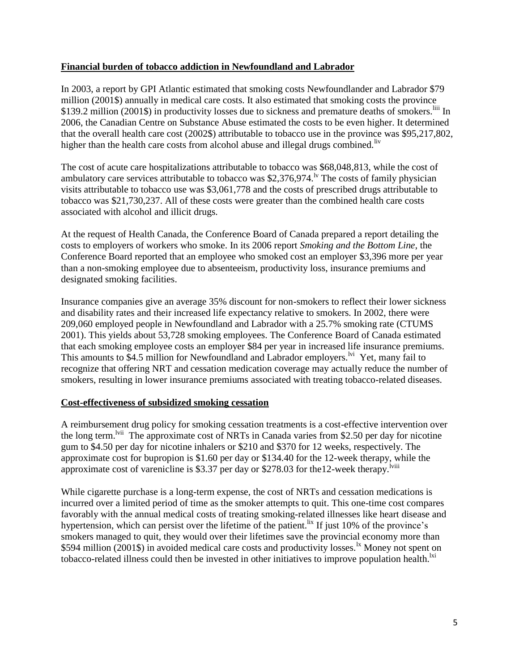## **Financial burden of tobacco addiction in Newfoundland and Labrador**

In 2003, a report by GPI Atlantic estimated that smoking costs Newfoundlander and Labrador \$79 million (2001\$) annually in medical care costs. It also estimated that smoking costs the province \$139.2 million (2001\$) in productivity losses due to sickness and premature deaths of smokers.<sup>liii</sup> In 2006, the Canadian Centre on Substance Abuse estimated the costs to be even higher. It determined that the overall health care cost (2002\$) attributable to tobacco use in the province was \$95,217,802, higher than the health care costs from alcohol abuse and illegal drugs combined.<sup>liv</sup>

The cost of acute care hospitalizations attributable to tobacco was \$68,048,813, while the cost of ambulatory care services attributable to tobacco was \$2,376,974.<sup> $\nu$ </sup> The costs of family physician visits attributable to tobacco use was \$3,061,778 and the costs of prescribed drugs attributable to tobacco was \$21,730,237. All of these costs were greater than the combined health care costs associated with alcohol and illicit drugs.

At the request of Health Canada, the Conference Board of Canada prepared a report detailing the costs to employers of workers who smoke. In its 2006 report *Smoking and the Bottom Line*, the Conference Board reported that an employee who smoked cost an employer \$3,396 more per year than a non-smoking employee due to absenteeism, productivity loss, insurance premiums and designated smoking facilities.

Insurance companies give an average 35% discount for non-smokers to reflect their lower sickness and disability rates and their increased life expectancy relative to smokers. In 2002, there were 209,060 employed people in Newfoundland and Labrador with a 25.7% smoking rate (CTUMS 2001). This yields about 53,728 smoking employees. The Conference Board of Canada estimated that each smoking employee costs an employer \$84 per year in increased life insurance premiums. This amounts to \$4.5 million for Newfoundland and Labrador employers.<sup>1vi</sup> Yet, many fail to recognize that offering NRT and cessation medication coverage may actually reduce the number of smokers, resulting in lower insurance premiums associated with treating tobacco-related diseases.

## **Cost-effectiveness of subsidized smoking cessation**

A reimbursement drug policy for smoking cessation treatments is a cost-effective intervention over the long term.<sup>Ivii</sup> The approximate cost of NRTs in Canada varies from \$2.50 per day for nicotine gum to \$4.50 per day for nicotine inhalers or \$210 and \$370 for 12 weeks, respectively. The approximate cost for bupropion is \$1.60 per day or \$134.40 for the 12-week therapy, while the approximate cost of varenicline is \$3.37 per day or \$278.03 for the12-week therapy.<sup>1viii</sup>

While cigarette purchase is a long-term expense, the cost of NRTs and cessation medications is incurred over a limited period of time as the smoker attempts to quit. This one-time cost compares favorably with the annual medical costs of treating smoking-related illnesses like heart disease and hypertension, which can persist over the lifetime of the patient.<sup>lix</sup> If just 10% of the province's smokers managed to quit, they would over their lifetimes save the provincial economy more than \$594 million (2001\$) in avoided medical care costs and productivity losses.  $\frac{1}{x}$  Money not spent on tobacco-related illness could then be invested in other initiatives to improve population health.<sup>1xi</sup>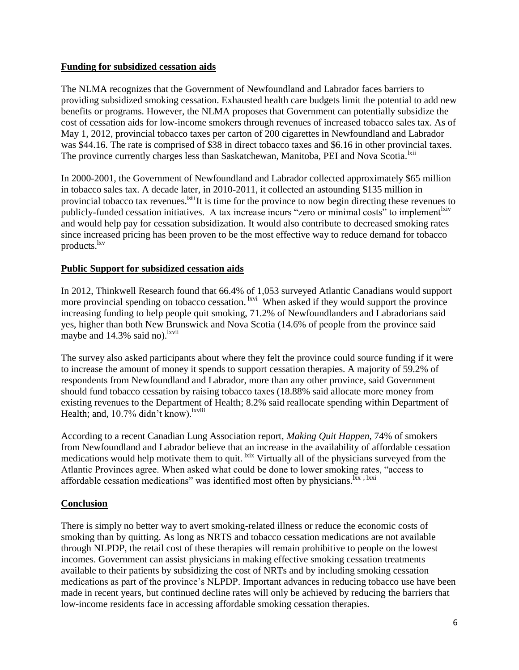## **Funding for subsidized cessation aids**

The NLMA recognizes that the Government of Newfoundland and Labrador faces barriers to providing subsidized smoking cessation. Exhausted health care budgets limit the potential to add new benefits or programs. However, the NLMA proposes that Government can potentially subsidize the cost of cessation aids for low-income smokers through revenues of increased tobacco sales tax. As of May 1, 2012, provincial tobacco taxes per carton of 200 cigarettes in Newfoundland and Labrador was \$44.16. The rate is comprised of \$38 in direct tobacco taxes and \$6.16 in other provincial taxes. The province currently charges less than Saskatchewan, Manitoba, PEI and Nova Scotia.<sup>1xii</sup>

In 2000-2001, the Government of Newfoundland and Labrador collected approximately \$65 million in tobacco sales tax. A decade later, in 2010-2011, it collected an astounding \$135 million in provincial tobacco tax revenues.<sup>|xiii</sup>It is time for the province to now begin directing these revenues to publicly-funded cessation initiatives. A tax increase incurs "zero or minimal costs" to implement<sup>lxiv</sup> and would help pay for cessation subsidization. It would also contribute to decreased smoking rates since increased pricing has been proven to be the most effective way to reduce demand for tobacco products.<sup>lxv</sup>

## **Public Support for subsidized cessation aids**

In 2012, Thinkwell Research found that 66.4% of 1,053 surveyed Atlantic Canadians would support more provincial spending on tobacco cessation. <sup>Ixvi</sup> When asked if they would support the province increasing funding to help people quit smoking, 71.2% of Newfoundlanders and Labradorians said yes, higher than both New Brunswick and Nova Scotia (14.6% of people from the province said maybe and 14.3% said no).<sup>lxvii</sup>

The survey also asked participants about where they felt the province could source funding if it were to increase the amount of money it spends to support cessation therapies. A majority of 59.2% of respondents from Newfoundland and Labrador, more than any other province, said Government should fund tobacco cessation by raising tobacco taxes (18.88% said allocate more money from existing revenues to the Department of Health; 8.2% said reallocate spending within Department of Health; and, 10.7% didn't know).<sup>lxviii</sup>

According to a recent Canadian Lung Association report, *Making Quit Happen*, 74% of smokers from Newfoundland and Labrador believe that an increase in the availability of affordable cessation medications would help motivate them to quit. <sup>1xix</sup> Virtually all of the physicians surveyed from the Atlantic Provinces agree. When asked what could be done to lower smoking rates, "access to affordable cessation medications" was identified most often by physicians.<sup>Ixx, lxxi</sup>

## **Conclusion**

There is simply no better way to avert smoking-related illness or reduce the economic costs of smoking than by quitting. As long as NRTS and tobacco cessation medications are not available through NLPDP, the retail cost of these therapies will remain prohibitive to people on the lowest incomes. Government can assist physicians in making effective smoking cessation treatments available to their patients by subsidizing the cost of NRTs and by including smoking cessation medications as part of the province's NLPDP. Important advances in reducing tobacco use have been made in recent years, but continued decline rates will only be achieved by reducing the barriers that low-income residents face in accessing affordable smoking cessation therapies.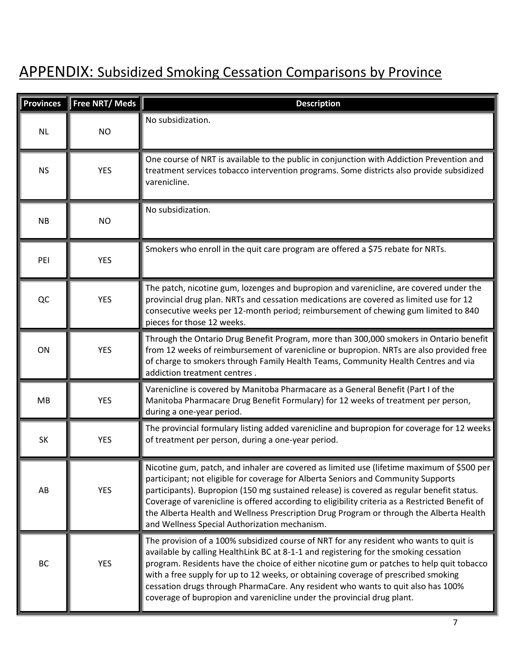# APPENDIX: Subsidized Smoking Cessation Comparisons by Province

| <b>Provinces</b> | Free NRT/ Meds | <b>Description</b>                                                                                                                                                                                                                                                                                                                                                                                                                                                                                                               |
|------------------|----------------|----------------------------------------------------------------------------------------------------------------------------------------------------------------------------------------------------------------------------------------------------------------------------------------------------------------------------------------------------------------------------------------------------------------------------------------------------------------------------------------------------------------------------------|
| <b>NL</b>        | <b>NO</b>      | No subsidization.                                                                                                                                                                                                                                                                                                                                                                                                                                                                                                                |
| <b>NS</b>        | <b>YES</b>     | One course of NRT is available to the public in conjunction with Addiction Prevention and<br>treatment services tobacco intervention programs. Some districts also provide subsidized<br>varenicline.                                                                                                                                                                                                                                                                                                                            |
| <b>NB</b>        | <b>NO</b>      | No subsidization.                                                                                                                                                                                                                                                                                                                                                                                                                                                                                                                |
| PEI              | <b>YES</b>     | Smokers who enroll in the quit care program are offered a \$75 rebate for NRTs.                                                                                                                                                                                                                                                                                                                                                                                                                                                  |
| QC               | <b>YES</b>     | The patch, nicotine gum, lozenges and bupropion and varenicline, are covered under the<br>provincial drug plan. NRTs and cessation medications are covered as limited use for 12<br>consecutive weeks per 12-month period; reimbursement of chewing gum limited to 840<br>pieces for those 12 weeks.                                                                                                                                                                                                                             |
| ON               | <b>YES</b>     | Through the Ontario Drug Benefit Program, more than 300,000 smokers in Ontario benefit<br>from 12 weeks of reimbursement of varenicline or bupropion. NRTs are also provided free<br>of charge to smokers through Family Health Teams, Community Health Centres and via<br>addiction treatment centres.                                                                                                                                                                                                                          |
| MB               | <b>YES</b>     | Varenicline is covered by Manitoba Pharmacare as a General Benefit (Part I of the<br>Manitoba Pharmacare Drug Benefit Formulary) for 12 weeks of treatment per person,<br>during a one-year period.                                                                                                                                                                                                                                                                                                                              |
| SK               | <b>YES</b>     | The provincial formulary listing added varenicline and bupropion for coverage for 12 weeks<br>of treatment per person, during a one-year period.                                                                                                                                                                                                                                                                                                                                                                                 |
| AB               | <b>YES</b>     | Nicotine gum, patch, and inhaler are covered as limited use (lifetime maximum of \$500 per<br>participant; not eligible for coverage for Alberta Seniors and Community Supports<br>participants). Bupropion (150 mg sustained release) is covered as regular benefit status.<br>Coverage of varenicline is offered according to eligibility criteria as a Restricted Benefit of<br>the Alberta Health and Wellness Prescription Drug Program or through the Alberta Health<br>and Wellness Special Authorization mechanism.      |
| BC               | <b>YES</b>     | The provision of a 100% subsidized course of NRT for any resident who wants to quit is<br>available by calling HealthLink BC at 8-1-1 and registering for the smoking cessation<br>program. Residents have the choice of either nicotine gum or patches to help quit tobacco<br>with a free supply for up to 12 weeks, or obtaining coverage of prescribed smoking<br>cessation drugs through PharmaCare. Any resident who wants to quit also has 100%<br>coverage of bupropion and varenicline under the provincial drug plant. |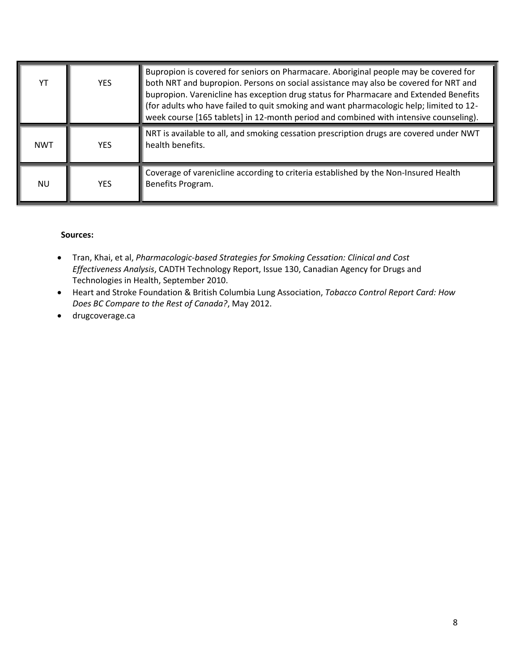| YT         | <b>YES</b> | Bupropion is covered for seniors on Pharmacare. Aboriginal people may be covered for<br>both NRT and bupropion. Persons on social assistance may also be covered for NRT and<br>bupropion. Varenicline has exception drug status for Pharmacare and Extended Benefits<br>(for adults who have failed to quit smoking and want pharmacologic help; limited to 12-<br>week course [165 tablets] in 12-month period and combined with intensive counseling). |
|------------|------------|-----------------------------------------------------------------------------------------------------------------------------------------------------------------------------------------------------------------------------------------------------------------------------------------------------------------------------------------------------------------------------------------------------------------------------------------------------------|
| <b>NWT</b> | YFS.       | NRT is available to all, and smoking cessation prescription drugs are covered under NWT<br>health benefits.                                                                                                                                                                                                                                                                                                                                               |
| NU         | <b>YFS</b> | Coverage of varenicline according to criteria established by the Non-Insured Health<br>Benefits Program.                                                                                                                                                                                                                                                                                                                                                  |

#### **Sources:**

- Tran, Khai, et al, *Pharmacologic-based Strategies for Smoking Cessation: Clinical and Cost Effectiveness Analysis*, CADTH Technology Report, Issue 130, Canadian Agency for Drugs and Technologies in Health, September 2010.
- Heart and Stroke Foundation & British Columbia Lung Association, *Tobacco Control Report Card: How Does BC Compare to the Rest of Canada?*, May 2012.
- drugcoverage.ca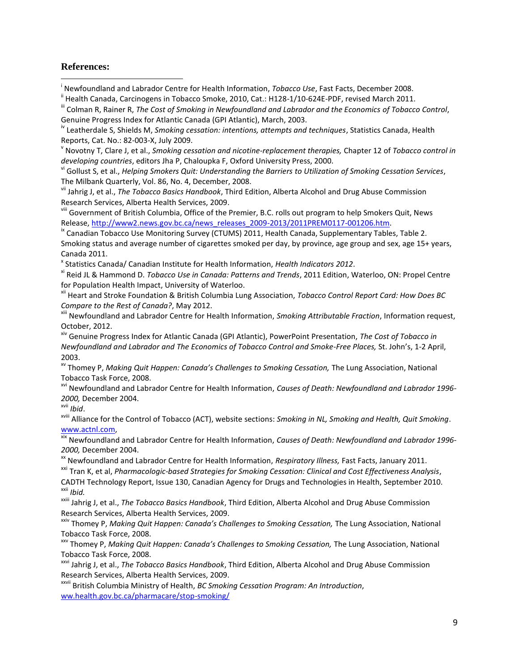#### **References:**

 $\overline{a}$ 

i Newfoundland and Labrador Centre for Health Information, *Tobacco Use*, Fast Facts, December 2008.

<sup>ii</sup> Health Canada, Carcinogens in Tobacco Smoke, 2010, Cat.: H128-1/10-624E-PDF, revised March 2011.

v Novotny T, Clare J, et al., *Smoking cessation and nicotine-replacement therapies,* Chapter 12 of *Tobacco control in developing countries*, editors Jha P, Chaloupka F, Oxford University Press, 2000.

vi Gollust S, et al., *Helping Smokers Quit: Understanding the Barriers to Utilization of Smoking Cessation Services*, The Milbank Quarterly, Vol. 86, No. 4, December, 2008.

vii Jahrig J, et al., *The Tobacco Basics Handbook*, Third Edition, Alberta Alcohol and Drug Abuse Commission Research Services, Alberta Health Services, 2009.

vill Government of British Columbia, Office of the Premier, B.C. rolls out program to help Smokers Quit, News Release, [http://www2.news.gov.bc.ca/news\\_releases\\_2009-2013/2011PREM0117-001206.htm.](http://www2.news.gov.bc.ca/news_releases_2009-2013/2011PREM0117-001206.htm)

<sup>ix</sup> Canadian Tobacco Use Monitoring Survey (CTUMS) 2011, Health Canada, Supplementary Tables, Table 2. Smoking status and average number of cigarettes smoked per day, by province, age group and sex, age 15+ years, Canada 2011.

x Statistics Canada/ Canadian Institute for Health Information, *Health Indicators 2012*.

xi Reid JL & Hammond D. *Tobacco Use in Canada: Patterns and Trends*, 2011 Edition, Waterloo, ON: Propel Centre for Population Health Impact, University of Waterloo.

xii Heart and Stroke Foundation & British Columbia Lung Association, *Tobacco Control Report Card: How Does BC Compare to the Rest of Canada?*, May 2012.

xiii Newfoundland and Labrador Centre for Health Information, *Smoking Attributable Fraction*, Information request, October, 2012.

xiv Genuine Progress Index for Atlantic Canada (GPI Atlantic), PowerPoint Presentation, *The Cost of Tobacco in Newfoundland and Labrador and The Economics of Tobacco Control and Smoke-Free Places,* St. John's, 1-2 April, 2003.

xv Thomey P, *Making Quit Happen: Canada's Challenges to Smoking Cessation,* The Lung Association, National Tobacco Task Force, 2008.

xvi Newfoundland and Labrador Centre for Health Information, *Causes of Death: Newfoundland and Labrador 1996- 2000,* December 2004.

xvii *Ibid*.

xviii Alliance for the Control of Tobacco (ACT), website sections: *Smoking in NL, Smoking and Health, Quit Smoking*. [www.actnl.com,](http://www.actnl.com/)

xix Newfoundland and Labrador Centre for Health Information, *Causes of Death: Newfoundland and Labrador 1996- 2000,* December 2004.

xx Newfoundland and Labrador Centre for Health Information, *Respiratory Illness,* Fast Facts, January 2011.

xxi Tran K, et al, *Pharmacologic-based Strategies for Smoking Cessation: Clinical and Cost Effectiveness Analysis*, CADTH Technology Report, Issue 130, Canadian Agency for Drugs and Technologies in Health, September 2010. xxii *Ibid.*

xxiii Jahrig J, et al., *The Tobacco Basics Handbook*, Third Edition, Alberta Alcohol and Drug Abuse Commission Research Services, Alberta Health Services, 2009.

xxiv Thomey P, *Making Quit Happen: Canada's Challenges to Smoking Cessation,* The Lung Association, National Tobacco Task Force, 2008.

xxv Thomey P, *Making Quit Happen: Canada's Challenges to Smoking Cessation,* The Lung Association, National Tobacco Task Force, 2008.

xxvi Jahrig J, et al., *The Tobacco Basics Handbook*, Third Edition, Alberta Alcohol and Drug Abuse Commission Research Services, Alberta Health Services, 2009.

xxvii British Columbia Ministry of Health, *BC Smoking Cessation Program: An Introduction*, [ww.health.gov.bc.ca/pharmacare/stop-smoking/](http://www.health.gov.bc.ca/pharmacare/stop-smoking/)

iii Colman R, Rainer R, *The Cost of Smoking in Newfoundland and Labrador and the Economics of Tobacco Control*, Genuine Progress Index for Atlantic Canada (GPI Atlantic), March, 2003.

iv Leatherdale S, Shields M, *Smoking cessation: intentions, attempts and techniques*, Statistics Canada, Health Reports, Cat. No.: 82-003-X, July 2009.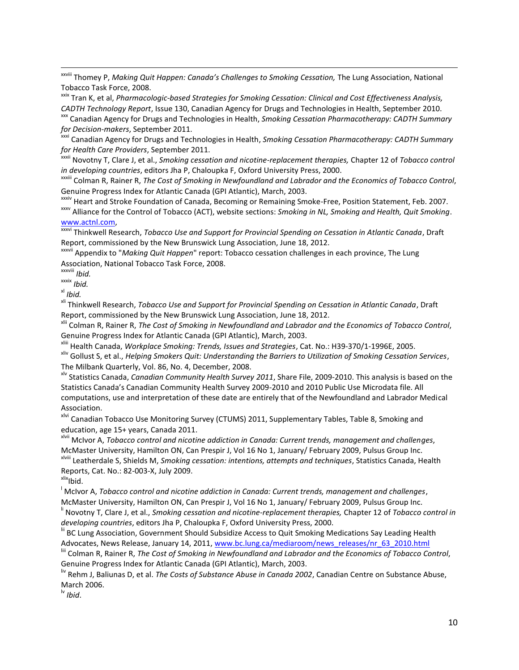xxviii Thomey P, *Making Quit Happen: Canada's Challenges to Smoking Cessation,* The Lung Association, National Tobacco Task Force, 2008.

xxix Tran K, et al, *Pharmacologic-based Strategies for Smoking Cessation: Clinical and Cost Effectiveness Analysis, CADTH Technology Report*, Issue 130, Canadian Agency for Drugs and Technologies in Health, September 2010.

xxx Canadian Agency for Drugs and Technologies in Health, *Smoking Cessation Pharmacotherapy: CADTH Summary for Decision-makers*, September 2011.

xxxi Canadian Agency for Drugs and Technologies in Health, *Smoking Cessation Pharmacotherapy: CADTH Summary for Health Care Providers*, September 2011.

xxxii Novotny T, Clare J, et al., *Smoking cessation and nicotine-replacement therapies,* Chapter 12 of *Tobacco control in developing countries*, editors Jha P, Chaloupka F, Oxford University Press, 2000.

xxxiii Colman R, Rainer R, *The Cost of Smoking in Newfoundland and Labrador and the Economics of Tobacco Control*, Genuine Progress Index for Atlantic Canada (GPI Atlantic), March, 2003.

xxxiv Heart and Stroke Foundation of Canada, Becoming or Remaining Smoke-Free, Position Statement, Feb. 2007. xxxv Alliance for the Control of Tobacco (ACT), website sections: *Smoking in NL, Smoking and Health, Quit Smoking*. [www.actnl.com,](http://www.actnl.com/)

xxxvi Thinkwell Research, *Tobacco Use and Support for Provincial Spending on Cessation in Atlantic Canada*, Draft Report, commissioned by the New Brunswick Lung Association, June 18, 2012.

xxxvii Appendix to "*Making Quit Happen*[" report: Tobacco cessation challenges in each province,](http://www.lung.ca/_resources/Appendix_making_quit_happen_provinces.pdf) The Lung Association, National Tobacco Task Force, 2008.

xxxviii *Ibid.*

xxxix *Ibid.*

xl *Ibid.*

 $\overline{\phantom{a}}$ 

xli Thinkwell Research, *Tobacco Use and Support for Provincial Spending on Cessation in Atlantic Canada*, Draft Report, commissioned by the New Brunswick Lung Association, June 18, 2012.

xlii Colman R, Rainer R, *The Cost of Smoking in Newfoundland and Labrador and the Economics of Tobacco Control*, Genuine Progress Index for Atlantic Canada (GPI Atlantic), March, 2003.

xliii Health Canada, *Workplace Smoking: Trends, Issues and Strategies*, Cat. No.: H39-370/1-1996E, 2005.

xliv Gollust S, et al., *Helping Smokers Quit: Understanding the Barriers to Utilization of Smoking Cessation Services*, The Milbank Quarterly, Vol. 86, No. 4, December, 2008.

xlv Statistics Canada, *Canadian Community Health Survey 2011*, Share File, 2009-2010. This analysis is based on the Statistics Canada's Canadian Community Health Survey 2009-2010 and 2010 Public Use Microdata file. All computations, use and interpretation of these date are entirely that of the Newfoundland and Labrador Medical Association.

xlvi Canadian Tobacco Use Monitoring Survey (CTUMS) 2011, Supplementary Tables, Table 8, Smoking and education, age 15+ years, Canada 2011.

xlvii McIvor A, *Tobacco control and nicotine addiction in Canada: Current trends, management and challenges*, McMaster University, Hamilton ON, Can Prespir J, Vol 16 No 1, January/ February 2009, Pulsus Group Inc. xlviii Leatherdale S, Shields M, *Smoking cessation: intentions, attempts and techniques*, Statistics Canada, Health

Reports, Cat. No.: 82-003-X, July 2009.

 $x$ lbid.

<sup>l</sup> McIvor A, *Tobacco control and nicotine addiction in Canada: Current trends, management and challenges*,

McMaster University, Hamilton ON, Can Prespir J, Vol 16 No 1, January/ February 2009, Pulsus Group Inc.

li Novotny T, Clare J, et al., *Smoking cessation and nicotine-replacement therapies,* Chapter 12 of *Tobacco control in developing countries*, editors Jha P, Chaloupka F, Oxford University Press, 2000.

<sup>iii</sup> BC Lung Association, Government Should Subsidize Access to Quit Smoking Medications Say Leading Health Advocates, News Release, January 14, 2011, www.bc.lung.ca/mediaroom/news\_releases/nr\_63\_2010.html

liii Colman R, Rainer R, *The Cost of Smoking in Newfoundland and Labrador and the Economics of Tobacco Control*, Genuine Progress Index for Atlantic Canada (GPI Atlantic), March, 2003.

liv Rehm J, Baliunas D, et al. *The Costs of Substance Abuse in Canada 2002*, Canadian Centre on Substance Abuse, March 2006.

lv *Ibid*.